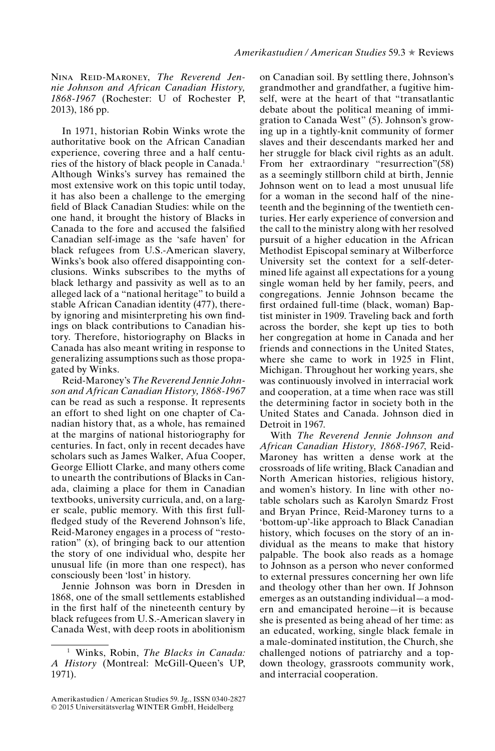Nina Reid-Maroney, *The Reverend Jennie Johnson and African Canadian History, 1868-1967* (Rochester: U of Rochester P, 2013), 186 pp.

In 1971, historian Robin Winks wrote the authoritative book on the African Canadian experience, covering three and a half centuries of the history of black people in Canada.1 Although Winks's survey has remained the most extensive work on this topic until today, it has also been a challenge to the emerging field of Black Canadian Studies: while on the one hand, it brought the history of Blacks in Canada to the fore and accused the falsified Canadian self-image as the 'safe haven' for black refugees from U.S.-American slavery, Winks's book also offered disappointing conclusions. Winks subscribes to the myths of black lethargy and passivity as well as to an alleged lack of a "national heritage" to build a stable African Canadian identity (477), thereby ignoring and misinterpreting his own findings on black contributions to Canadian history. Therefore, historiography on Blacks in Canada has also meant writing in response to generalizing assumptions such as those propagated by Winks.

Reid-Maroney's *The Reverend Jennie Johnson and African Canadian History, 1868-1967* can be read as such a response. It represents an effort to shed light on one chapter of Canadian history that, as a whole, has remained at the margins of national historiography for centuries. In fact, only in recent decades have scholars such as James Walker, Afua Cooper, George Elliott Clarke, and many others come to unearth the contributions of Blacks in Canada, claiming a place for them in Canadian textbooks, university curricula, and, on a larger scale, public memory. With this first fullfledged study of the Reverend Johnson's life, Reid-Maroney engages in a process of "restoration" (x), of bringing back to our attention the story of one individual who, despite her unusual life (in more than one respect), has consciously been 'lost' in history.

Jennie Johnson was born in Dresden in 1868, one of the small settlements established in the first half of the nineteenth century by black refugees from U. S.-American slavery in Canada West, with deep roots in abolitionism on Canadian soil. By settling there, Johnson's grandmother and grandfather, a fugitive himself, were at the heart of that "transatlantic debate about the political meaning of immigration to Canada West" (5). Johnson's growing up in a tightly-knit community of former slaves and their descendants marked her and her struggle for black civil rights as an adult. From her extraordinary "resurrection"(58) as a seemingly stillborn child at birth, Jennie Johnson went on to lead a most unusual life for a woman in the second half of the nineteenth and the beginning of the twentieth centuries. Her early experience of conversion and the call to the ministry along with her resolved pursuit of a higher education in the African Methodist Episcopal seminary at Wilberforce University set the context for a self-determined life against all expectations for a young single woman held by her family, peers, and congregations. Jennie Johnson became the first ordained full-time (black, woman) Baptist minister in 1909. Traveling back and forth across the border, she kept up ties to both her congregation at home in Canada and her friends and connections in the United States, where she came to work in 1925 in Flint, Michigan. Throughout her working years, she was continuously involved in interracial work and cooperation, at a time when race was still the determining factor in society both in the United States and Canada. Johnson died in Detroit in 1967.

With *The Reverend Jennie Johnson and African Canadian History, 1868-1967*, Reid-Maroney has written a dense work at the crossroads of life writing, Black Canadian and North American histories, religious history, and women's history. In line with other notable scholars such as Karolyn Smardz Frost and Bryan Prince, Reid-Maroney turns to a 'bottom-up'-like approach to Black Canadian history, which focuses on the story of an individual as the means to make that history palpable. The book also reads as a homage to Johnson as a person who never conformed to external pressures concerning her own life and theology other than her own. If Johnson emerges as an outstanding individual—a modern and emancipated heroine—it is because she is presented as being ahead of her time: as an educated, working, single black female in a male-dominated institution, the Church, she challenged notions of patriarchy and a topdown theology, grassroots community work, and interracial cooperation.

<sup>1</sup> Winks, Robin, *The Blacks in Canada: A History* (Montreal: McGill-Queen's UP, 1971).

Amerikastudien / American Studies 59. Jg., ISSN 0340-2827 © 2015 Universitätsverlag WINTER GmbH, Heidelberg